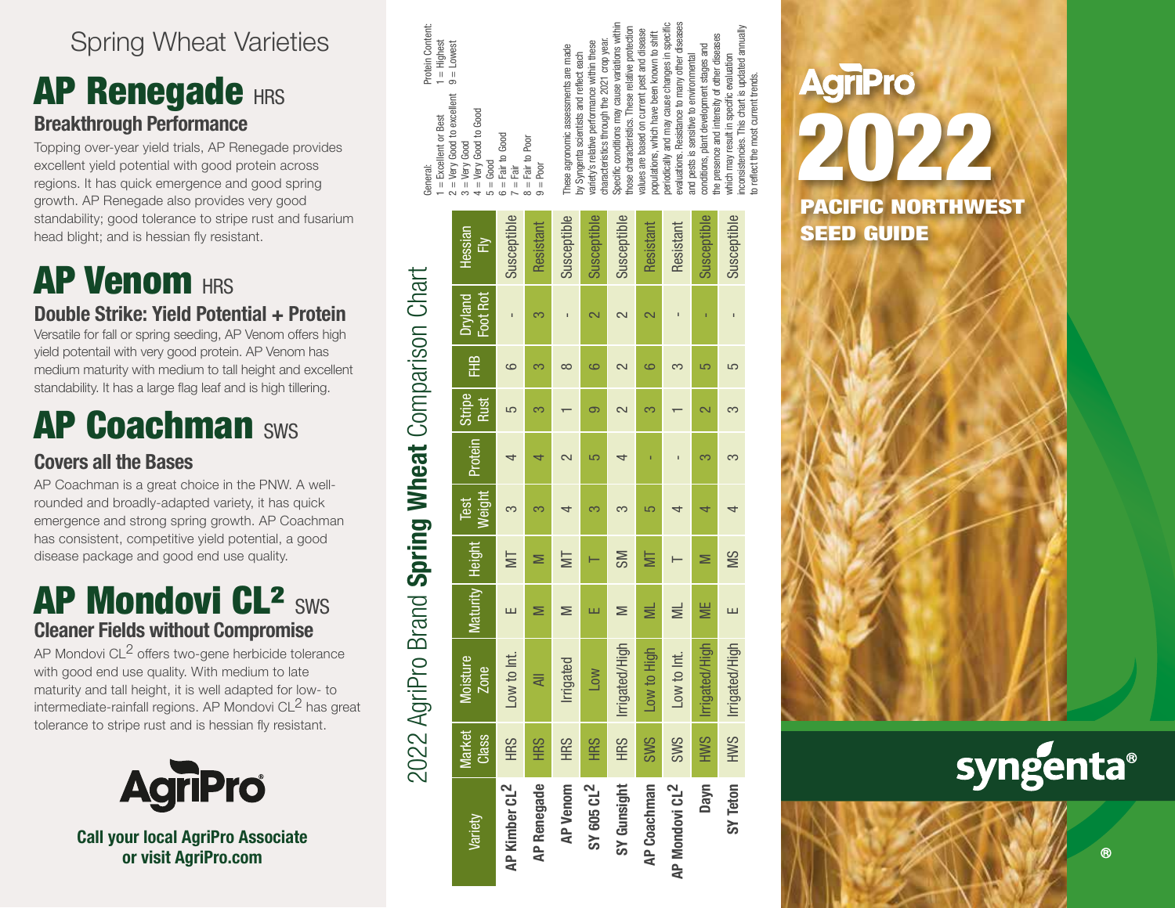### Spring Wheat Varieties

### **AP Renegade HRS Breakthrough Performance**

Topping over-year yield trials, AP Renegade provides excellent yield potential with good protein across regions. It has quick emergence and good spring growth. AP Renegade also provides very good standability; good tolerance to stripe rust and fusarium head blight; and is hessian fly resistant.

# **AP Venom HRS**

**Double Strike: Yield Potential + Protein** Versatile for fall or spring seeding, AP Venom offers high yield potentail with very good protein. AP Venom has medium maturity with medium to tall height and excellent standability. It has a large flag leaf and is high tillering.

## **AP Coachman SWS**

#### **Covers all the Bases**

AP Coachman is a great choice in the PNW. A wellrounded and broadly-adapted variety, it has quick emergence and strong spring growth. AP Coachman has consistent, competitive yield potential, a good disease package and good end use quality.

### AP Mondovi CL<sup>2</sup> sws **Cleaner Fields without Compromise**

AP Mondovi CL<sup>2</sup> offers two-gene herbicide tolerance with good end use quality. With medium to late maturity and tall height, it is well adapted for low- to intermediate-rainfall regions. AP Mondovi CL<sup>2</sup> has great tolerance to stripe rust and is hessian fly resistant.



**Call your local AgriPro Associate or visit AgriPro.com**

| J<br>J<br>D             |             | Protein Content:<br>General:                                                                                                        |  |
|-------------------------|-------------|-------------------------------------------------------------------------------------------------------------------------------------|--|
|                         |             | 1 = Highest<br>$1 =$ Excellent or Best                                                                                              |  |
| <b>yland</b>            | Hessian     | $9 =$ Lowest<br>$2 = V$ ery Good to excellent<br>$3 = V$ ery Good                                                                   |  |
| ot Rot                  | È           | $4 = Very$ Good to Good<br>$=$ Good<br>$\overline{1}$                                                                               |  |
| ī                       | Susceptible | Fair to Good<br>ilā<br>$\overline{\mathbf{u}}$<br>$\circ$                                                                           |  |
| က                       | Resistant   | $=$ Fair to Poor<br>$9 = 100$<br>$\infty$                                                                                           |  |
| $\blacksquare$          | Susceptible | These agronomic assessments are made<br>by Syngenta scientists and reflect each                                                     |  |
| $\sim$                  | Susceptible | characteristics through the 2021 crop year.<br>variety's relative performance within these                                          |  |
| $\sim$                  | Susceptible | Specific conditions may cause variations within<br>those characteristics. These relative protection                                 |  |
| $\overline{\mathsf{c}}$ | Resistant   | values are based on current pest and disease<br>populations, which have been known to shift                                         |  |
| ī                       | Resistant   | evaluations. Resistance to many other diseases<br>periodically and may cause changes in specific                                    |  |
| ī                       | Susceptible | the presence and intensity of other diseases<br>conditions, plant development stages and<br>and pests is sensitive to environmental |  |
| $\mathbf{I}$            | Susceptible | inconsistencies. This chart is updated annually<br>which may result in specific evaluation                                          |  |
|                         |             | to reflect the most current trends.                                                                                                 |  |

|                            |                 | 2022 AgriPro Brand Spring Wheat Comparison Chart |          |        |                  |         |                |   |                     |                  |
|----------------------------|-----------------|--------------------------------------------------|----------|--------|------------------|---------|----------------|---|---------------------|------------------|
| Variety                    | Market<br>Class | Moisture<br><b>Zone</b>                          | Maturity | Height | Weight  <br>Test | Protein | Stripe<br>Rust | 全 | Foot Rot<br>Jryland | Hessian<br>준     |
| AP Kimber CL <sup>2</sup>  | <b>SHH</b>      | Low to Int.                                      | ш        | ⋚      |                  |         | 5              | 6 |                     | Susceptible      |
| <b>AP Renegade</b>         | <b>SHH</b>      | ₹                                                |          |        |                  |         | က              |   |                     | Resistant        |
| <b>AP Venom</b>            | <b>HRS</b>      | Irrigated                                        | ⋝        | ₩      |                  |         |                | ∞ |                     | Susceptible      |
| SY 605 CL <sup>2</sup>     | <b>HRS</b>      | Low                                              |          |        |                  | 5       | െ              | ဇ |                     | Susceptible      |
| SY Gunsight                | <b>HRS</b>      | Irrigated/High                                   | ⋝        | SM     |                  |         |                |   | $\sim$              | Susceptible      |
| <b>AP Coachman</b>         | <b>SWS</b>      | Low to High                                      | ≣        | ₩      | 5                |         | 3              | 6 |                     | <b>Resistant</b> |
| AP Mondovi CL <sup>2</sup> | <b>SWS</b>      | Low to Int.                                      | $\equiv$ |        |                  |         |                |   |                     | Resistant        |
| Dayn                       | HWS             | Irrigated/High                                   | WE       |        |                  | ∞       |                | 5 |                     | Susceptible      |
| SY Teton                   | HWS             | Irrigated/High                                   | ш        | SM     | 4                |         | က              | 5 |                     | Susceptible      |
|                            |                 |                                                  |          |        |                  |         |                |   |                     |                  |

# **AgriPro** 2022 PACIFIC NORTHWEST SEED GUIDE



**TM**